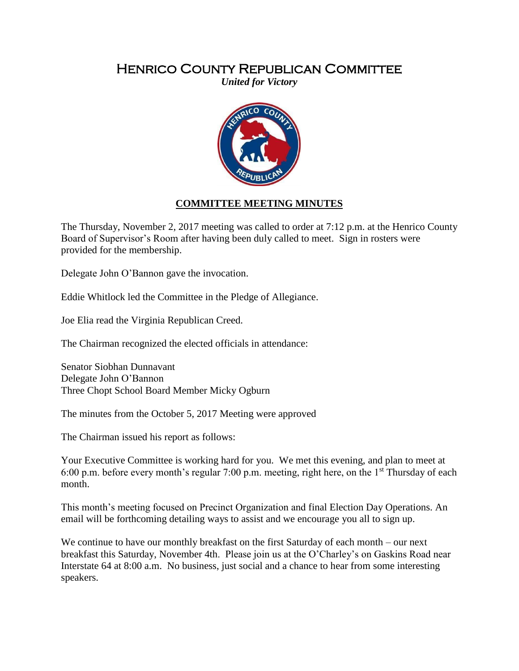## Henrico County Republican Committee

*United for Victory*



## **COMMITTEE MEETING MINUTES**

The Thursday, November 2, 2017 meeting was called to order at 7:12 p.m. at the Henrico County Board of Supervisor's Room after having been duly called to meet. Sign in rosters were provided for the membership.

Delegate John O'Bannon gave the invocation.

Eddie Whitlock led the Committee in the Pledge of Allegiance.

Joe Elia read the Virginia Republican Creed.

The Chairman recognized the elected officials in attendance:

Senator Siobhan Dunnavant Delegate John O'Bannon Three Chopt School Board Member Micky Ogburn

The minutes from the October 5, 2017 Meeting were approved

The Chairman issued his report as follows:

Your Executive Committee is working hard for you. We met this evening, and plan to meet at 6:00 p.m. before every month's regular 7:00 p.m. meeting, right here, on the  $1<sup>st</sup>$  Thursday of each month.

This month's meeting focused on Precinct Organization and final Election Day Operations. An email will be forthcoming detailing ways to assist and we encourage you all to sign up.

We continue to have our monthly breakfast on the first Saturday of each month – our next breakfast this Saturday, November 4th. Please join us at the O'Charley's on Gaskins Road near Interstate 64 at 8:00 a.m. No business, just social and a chance to hear from some interesting speakers.